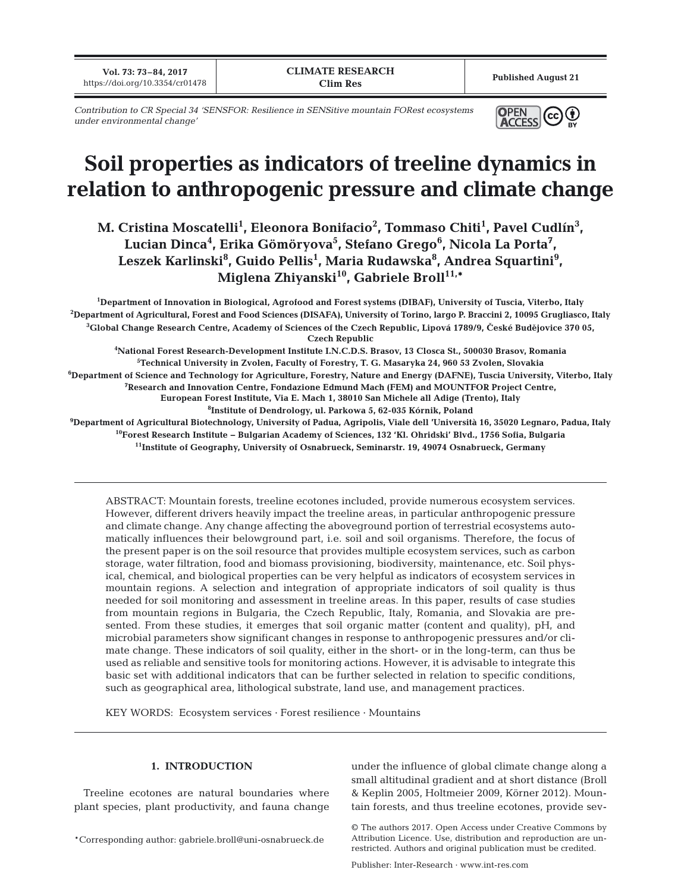**Vol. 73: 73–84, 2017 https://doi.org/10.3354/cr01478 Published August 21 Published August 21 Published August 21** 

*Contribution to CR Special 34 'SENSFOR: Resilience in SENSitive mountain FORest ecosystems under environmental change'*



# **Soil properties as indicators of treeline dynamics in relation to anthropogenic pressure and climate change**

M. Cristina Moscatelli<sup>1</sup>, Eleonora Bonifacio<sup>2</sup>, Tommaso Chiti<sup>1</sup>, Pavel Cudlín<sup>3</sup>, Lucian Dinca<sup>4</sup>, Erika Gömöryova<sup>5</sup>, Stefano Grego<sup>6</sup>, Nicola La Porta<sup>7</sup>, Leszek Karlinski<sup>8</sup>, Guido Pellis<sup>1</sup>, Maria Rudawska<sup>8</sup>, Andrea Squartini<sup>9</sup>, Miglena Zhiyanski<sup>10</sup>, Gabriele Broll<sup>11,\*</sup>

 **Department of Innovation in Biological, Agrofood and Forest systems (DIBAF), University of Tuscia, Viterbo, Italy Department of Agricultural, Forest and Food Sciences (DISAFA), University of Torino, largo P. Braccini 2, 10095 Grugliasco, Italy** <sup>3</sup>Global Change Research Centre, Academy of Sciences of the Czech Republic, Lipová 1789/9, České Budějovice 370 05, **Czech Republic National Forest Research-Development Institute I.N.C.D.S. Brasov, 13 Closca St., 500030 Brasov, Romania Technical University in Zvolen, Faculty of Forestry, T. G. Masaryka 24, 960 53 Zvolen, Slovakia Department of Science and Technology for Agriculture, Forestry, Nature and Energy (DAFNE), Tuscia University, Viterbo, Italy Research and Innovation Centre, Fondazione Edmund Mach (FEM) and MOUNTFOR Project Centre, European Forest Institute, Via E. Mach 1, 38010 San Michele all Adige (Trento), Italy Institute of Dendrology, ul. Parkowa 5, 62-035 Kórnik, Poland Department of Agricultural Biotechnology, University of Padua, Agripolis, Viale dell 'Università 16, 35020 Legnaro, Padua, Italy 10Forest Research Institute − Bulgarian Academy of Sciences, 132 'Kl. Ohridski' Blvd., 1756 Sofia, Bulgaria 11Institute of Geography, University of Osnabrueck, Seminarstr. 19, 49074 Osnabrueck, Germany**

ABSTRACT: Mountain forests, treeline ecotones included, provide numerous ecosystem services. However, different drivers heavily impact the treeline areas, in particular anthropogenic pressure and climate change. Any change affecting the aboveground portion of terrestrial ecosystems automatically influences their belowground part, i.e. soil and soil organisms. Therefore, the focus of the present paper is on the soil resource that provides multiple ecosystem services, such as carbon storage, water filtration, food and biomass provisioning, biodiversity, maintenance, etc. Soil physical, chemical, and biological properties can be very helpful as indicators of ecosystem services in mountain regions. A selection and integration of appropriate indicators of soil quality is thus needed for soil monitoring and assessment in treeline areas. In this paper, results of case studies from mountain regions in Bulgaria, the Czech Republic, Italy, Romania, and Slovakia are presented. From these studies, it emerges that soil organic matter (content and quality), pH, and microbial parameters show significant changes in response to anthropogenic pressures and/or climate change. These indicators of soil quality, either in the short- or in the long-term, can thus be used as reliable and sensitive tools for monitoring actions. However, it is advisable to integrate this basic set with additional indicators that can be further selected in relation to specific conditions, such as geographical area, lithological substrate, land use, and management practices.

KEY WORDS: Ecosystem services · Forest resilience · Mountains

#### **1. INTRODUCTION**

Treeline ecotones are natural boundaries where plant species, plant productivity, and fauna change

\*Corresponding author: gabriele.broll@uni-osnabrueck.de

under the influence of global climate change along a small altitudinal gradient and at short distance (Broll & Keplin 2005, Holtmeier 2009, Körner 2012). Mountain forests, and thus treeline ecotones, provide sev-

© The authors 2017. Open Access under Creative Commons by Attribution Licence. Use, distribution and reproduction are unrestricted. Authors and original publication must be credited.

Publisher: Inter-Research · www.int-res.com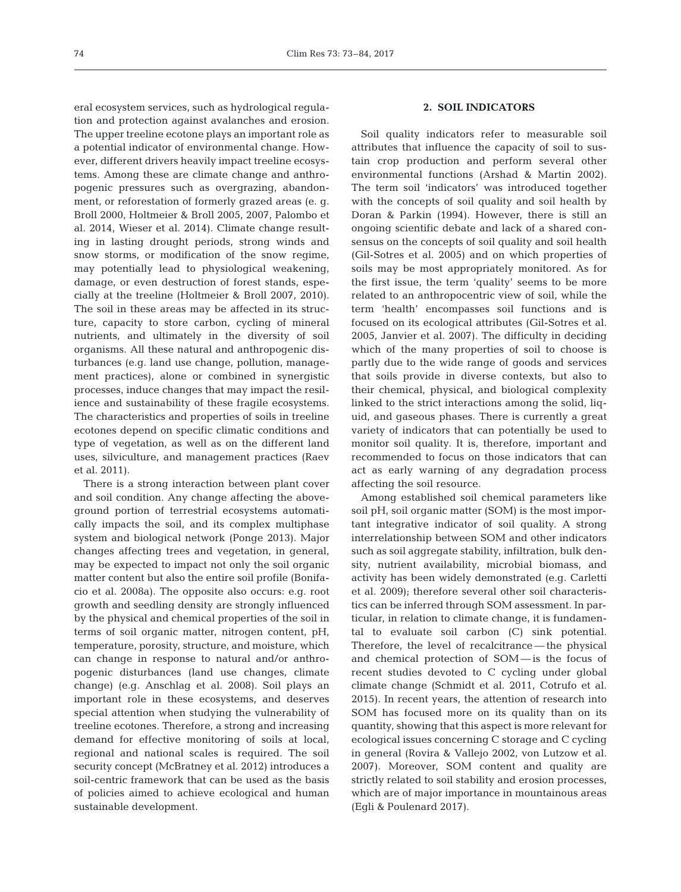eral ecosystem services, such as hydrological regulation and protection against avalanches and erosion. The upper treeline ecotone plays an important role as a potential indicator of environmental change. However, different drivers heavily impact treeline ecosystems. Among these are climate change and anthropogenic pressures such as overgrazing, abandonment, or reforestation of formerly grazed areas (e. g. Broll 2000, Holtmeier & Broll 2005, 2007, Palombo et al. 2014, Wieser et al. 2014). Climate change resulting in lasting drought periods, strong winds and snow storms, or modification of the snow regime, may potentially lead to physiological weakening, damage, or even destruction of forest stands, especially at the treeline (Holtmeier & Broll 2007, 2010). The soil in these areas may be affected in its structure, capacity to store carbon, cycling of mineral nutrients, and ultimately in the diversity of soil organisms. All these natural and anthropogenic disturbances (e.g. land use change, pollution, management practices), alone or combined in synergistic processes, induce changes that may impact the resilience and sustainability of these fragile ecosystems. The characteristics and properties of soils in treeline ecotones depend on specific climatic conditions and type of vegetation, as well as on the different land uses, silviculture, and management practices (Raev et al. 2011).

There is a strong interaction between plant cover and soil condition. Any change affecting the aboveground portion of terrestrial ecosystems automatically impacts the soil, and its complex multiphase system and biological network (Ponge 2013). Major changes affecting trees and vegetation, in general, may be expected to impact not only the soil organic matter content but also the entire soil profile (Bonifacio et al. 2008a). The opposite also occurs: e.g. root growth and seedling density are strongly influenced by the physical and chemical properties of the soil in terms of soil organic matter, nitrogen content, pH, temperature, porosity, structure, and moisture, which can change in response to natural and/or anthropogenic disturbances (land use changes, climate change) (e.g. Anschlag et al. 2008). Soil plays an important role in these ecosystems, and deserves special attention when studying the vulnerability of treeline ecotones. Therefore, a strong and increasing demand for effective monitoring of soils at local, regional and national scales is required. The soil security concept (McBratney et al. 2012) introduces a soil-centric framework that can be used as the basis of policies aimed to achieve ecological and human sustainable development.

# **2. SOIL INDICATORS**

Soil quality indicators refer to measurable soil attributes that influence the capacity of soil to sustain crop production and perform several other environmental functions (Arshad & Martin 2002). The term soil 'indicators' was introduced together with the concepts of soil quality and soil health by Doran & Parkin (1994). However, there is still an ongoing scientific debate and lack of a shared consensus on the concepts of soil quality and soil health (Gil-Sotres et al. 2005) and on which properties of soils may be most appropriately monitored. As for the first issue, the term 'quality' seems to be more related to an anthropocentric view of soil, while the term 'health' encompasses soil functions and is focused on its ecological attributes (Gil-Sotres et al. 2005, Janvier et al. 2007). The difficulty in deciding which of the many properties of soil to choose is partly due to the wide range of goods and services that soils provide in diverse contexts, but also to their chemical, physical, and biological complexity linked to the strict interactions among the solid, liquid, and gaseous phases. There is currently a great variety of indicators that can potentially be used to monitor soil quality. It is, therefore, important and recommended to focus on those indicators that can act as early warning of any degradation process affecting the soil resource.

Among established soil chemical parameters like soil pH, soil organic matter (SOM) is the most important integrative indicator of soil quality. A strong interrelationship between SOM and other indicators such as soil aggregate stability, infiltration, bulk density, nutrient availability, microbial biomass, and activity has been widely demonstrated (e.g. Carletti et al. 2009); therefore several other soil characteristics can be inferred through SOM assessment. In particular, in relation to climate change, it is fundamental to evaluate soil carbon (C) sink potential. Therefore, the level of recalcitrance — the physical and chemical protection of SOM — is the focus of recent studies devoted to C cycling under global climate change (Schmidt et al. 2011, Cotrufo et al. 2015). In recent years, the attention of research into SOM has focused more on its quality than on its quantity, showing that this aspect is more relevant for ecological issues concerning C storage and C cycling in general (Rovira & Vallejo 2002, von Lutzow et al. 2007). Moreover, SOM content and quality are strictly related to soil stability and erosion processes, which are of major importance in mountainous areas (Egli & Poulenard 2017).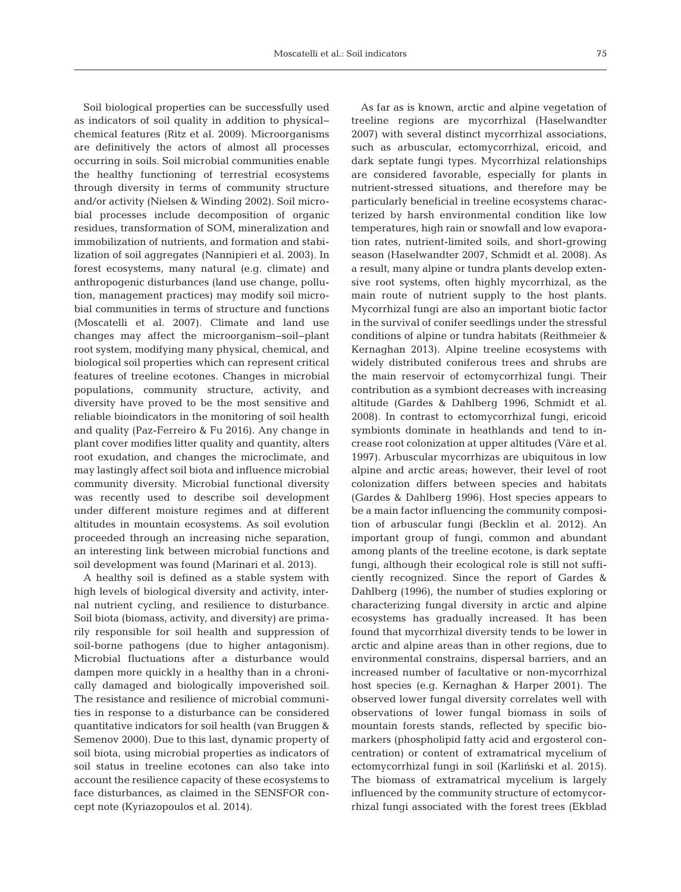Soil biological properties can be successfully used as indicators of soil quality in addition to physical− chemical features (Ritz et al. 2009). Microorganisms are definitively the actors of almost all processes occurring in soils. Soil microbial communities enable the healthy functioning of terrestrial ecosystems through diversity in terms of community structure and/or activity (Nielsen & Winding 2002). Soil microbial processes include decomposition of organic residues, transformation of SOM, mineralization and immobilization of nutrients, and formation and stabilization of soil aggregates (Nannipieri et al. 2003). In forest ecosystems, many natural (e.g. climate) and anthropogenic disturbances (land use change, pollution, management practices) may modify soil microbial communities in terms of structure and functions (Moscatelli et al. 2007). Climate and land use changes may affect the microorganism− soil− plant root system, modifying many physical, chemical, and biological soil properties which can represent critical features of treeline ecotones. Changes in microbial populations, community structure, activity, and diversity have proved to be the most sensitive and reliable bioindicators in the monitoring of soil health and quality (Paz-Ferreiro & Fu 2016). Any change in plant cover modifies litter quality and quantity, alters root exudation, and changes the microclimate, and may lastingly affect soil biota and influence microbial community diversity. Microbial functional diversity was recently used to describe soil development under different moisture regimes and at different altitudes in mountain ecosystems. As soil evolution proceeded through an increasing niche separation, an interesting link between microbial functions and soil development was found (Marinari et al. 2013).

A healthy soil is defined as a stable system with high levels of biological diversity and activity, internal nutrient cycling, and resilience to disturbance. Soil biota (biomass, activity, and diversity) are primarily responsible for soil health and suppression of soil-borne pathogens (due to higher antagonism). Microbial fluctuations after a disturbance would dampen more quickly in a healthy than in a chronically damaged and biologically impoverished soil. The resistance and resilience of microbial communities in response to a disturbance can be considered quantitative indicators for soil health (van Bruggen & Semenov 2000). Due to this last, dynamic property of soil biota, using microbial properties as indicators of soil status in treeline ecotones can also take into account the resilience capacity of these ecosystems to face disturbances, as claimed in the SENSFOR concept note (Kyriazopoulos et al. 2014).

As far as is known, arctic and alpine vegetation of treeline regions are mycorrhizal (Haselwandter 2007) with several distinct mycorrhizal associations, such as arbuscular, ectomycorrhizal, ericoid, and dark septate fungi types. Mycorrhizal relationships are considered favorable, especially for plants in nutrient-stressed situations, and therefore may be particularly beneficial in treeline ecosystems characterized by harsh environmental condition like low temperatures, high rain or snowfall and low evaporation rates, nutrient-limited soils, and short-growing season (Haselwandter 2007, Schmidt et al. 2008). As a result, many alpine or tundra plants develop extensive root systems, often highly mycorrhizal, as the main route of nutrient supply to the host plants. Mycorrhizal fungi are also an important biotic factor in the survival of conifer seedlings under the stressful conditions of alpine or tundra habitats (Reithmeier & Kernaghan 2013). Alpine treeline ecosystems with widely distributed coniferous trees and shrubs are the main reservoir of ectomycorrhizal fungi. Their contribution as a symbiont decreases with increasing altitude (Gardes & Dahlberg 1996, Schmidt et al. 2008). In contrast to ectomycorrhizal fungi, ericoid symbionts dominate in heathlands and tend to increase root colonization at upper altitudes (Väre et al. 1997). Arbuscular mycorrhizas are ubiquitous in low alpine and arctic areas; however, their level of root colonization differs between species and habitats (Gardes & Dahlberg 1996). Host species appears to be a main factor influencing the community composition of arbuscular fungi (Becklin et al. 2012). An important group of fungi, common and abundant among plants of the treeline ecotone, is dark septate fungi, although their ecological role is still not sufficiently recognized. Since the report of Gardes & Dahlberg (1996), the number of studies exploring or characterizing fungal diversity in arctic and alpine ecosystems has gradually increased. It has been found that mycorrhizal diversity tends to be lower in arctic and alpine areas than in other regions, due to environmental constrains, dispersal barriers, and an increased number of facultative or non-mycorrhizal host species (e.g. Kernaghan & Harper 2001). The observed lower fungal diversity correlates well with observations of lower fungal biomass in soils of mountain forests stands, reflected by specific biomarkers (phospholipid fatty acid and ergosterol concentration) or content of extramatrical mycelium of ectomycorrhizal fungi in soil (Karliński et al. 2015). The biomass of extramatrical mycelium is largely influenced by the community structure of ectomycorrhizal fungi associated with the forest trees (Ekblad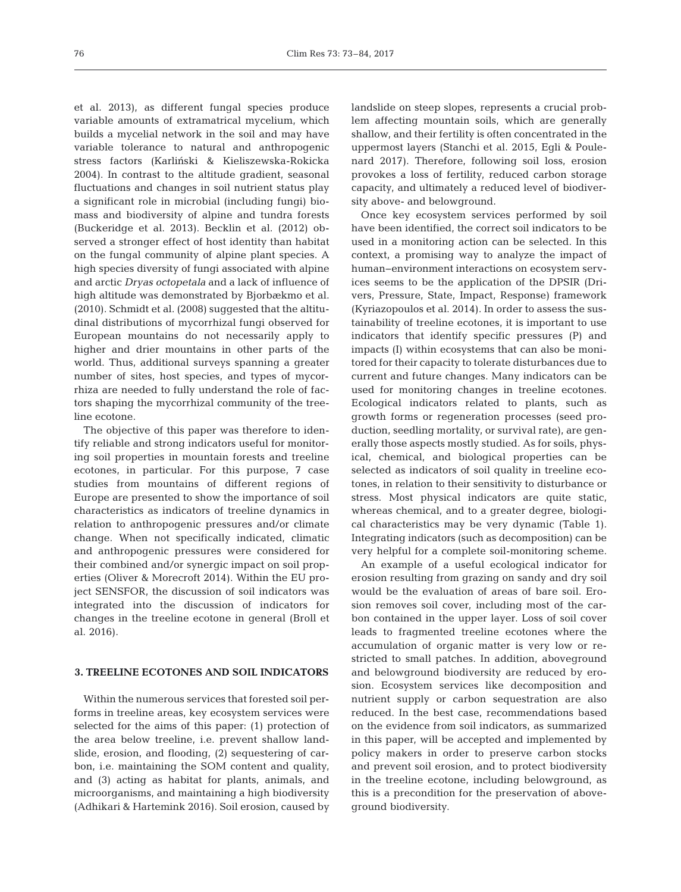et al. 2013), as different fungal species produce variable amounts of extramatrical mycelium, which builds a mycelial network in the soil and may have variable tolerance to natural and anthropogenic stress factors (Karliński & Kieliszewska-Rokicka 2004). In contrast to the altitude gradient, seasonal fluctuations and changes in soil nutrient status play a significant role in microbial (including fungi) biomass and biodiversity of alpine and tundra forests (Buckeridge et al. 2013). Becklin et al. (2012) ob served a stronger effect of host identity than habitat on the fungal community of alpine plant species. A high species diversity of fungi associated with alpine and arctic *Dryas octopetala* and a lack of influence of high altitude was demonstrated by Bjorbækmo et al. (2010). Schmidt et al. (2008) suggested that the altitudinal distributions of mycorrhizal fungi observed for European mountains do not necessarily apply to higher and drier mountains in other parts of the world. Thus, additional surveys spanning a greater number of sites, host species, and types of mycorrhiza are needed to fully understand the role of factors shaping the mycorrhizal community of the treeline ecotone.

The objective of this paper was therefore to identify reliable and strong indicators useful for monitoring soil properties in mountain forests and treeline ecotones, in particular. For this purpose, 7 case studies from mountains of different regions of Europe are presented to show the importance of soil characteristics as indicators of treeline dynamics in relation to anthropogenic pressures and/or climate change. When not specifically indicated, climatic and anthropogenic pressures were considered for their combined and/or synergic impact on soil properties (Oliver & Morecroft 2014). Within the EU project SENSFOR, the discussion of soil indicators was integrated into the discussion of indicators for changes in the treeline ecotone in general (Broll et al. 2016).

## **3. TREELINE ECOTONES AND SOIL INDICATORS**

Within the numerous services that forested soil performs in treeline areas, key ecosystem services were selected for the aims of this paper: (1) protection of the area below treeline, i.e. prevent shallow landslide, erosion, and flooding, (2) sequestering of carbon, i.e. maintaining the SOM content and quality, and (3) acting as habitat for plants, animals, and microorganisms, and maintaining a high biodiversity (Adhikari & Hartemink 2016). Soil erosion, caused by

landslide on steep slopes, represents a crucial problem affecting mountain soils, which are generally shallow, and their fertility is often concentrated in the uppermost layers (Stanchi et al. 2015, Egli & Poulenard 2017). Therefore, following soil loss, erosion provokes a loss of fertility, reduced carbon storage capacity, and ultimately a reduced level of biodiversity above- and belowground.

Once key ecosystem services performed by soil have been identified, the correct soil indicators to be used in a monitoring action can be selected. In this context, a promising way to analyze the impact of human−environment interactions on ecosystem services seems to be the application of the DPSIR (Drivers, Pressure, State, Impact, Response) framework (Kyriazopoulos et al. 2014). In order to assess the sustainability of treeline ecotones, it is important to use indicators that identify specific pressures (P) and impacts (I) within ecosystems that can also be monitored for their capacity to tolerate disturbances due to current and future changes. Many indicators can be used for monitoring changes in treeline ecotones. Ecological indicators related to plants, such as growth forms or regeneration processes (seed production, seedling mortality, or survival rate), are generally those aspects mostly studied. As for soils, physical, chemical, and biological properties can be selected as indicators of soil quality in treeline ecotones, in relation to their sensitivity to disturbance or stress. Most physical indicators are quite static, whereas chemical, and to a greater degree, biological characteristics may be very dynamic (Table 1). Integrating indicators (such as decomposition) can be very helpful for a complete soil-monitoring scheme.

An example of a useful ecological indicator for erosion resulting from grazing on sandy and dry soil would be the evaluation of areas of bare soil. Erosion removes soil cover, including most of the carbon contained in the upper layer. Loss of soil cover leads to fragmented treeline ecotones where the accumulation of organic matter is very low or re stricted to small patches. In addition, aboveground and belowground biodiversity are reduced by erosion. Ecosystem services like decomposition and nutrient supply or carbon sequestration are also reduced. In the best case, recommendations based on the evidence from soil indicators, as summarized in this paper, will be accepted and implemented by policy makers in order to preserve carbon stocks and prevent soil erosion, and to protect biodiversity in the treeline ecotone, including belowground, as this is a precondition for the preservation of aboveground biodiversity.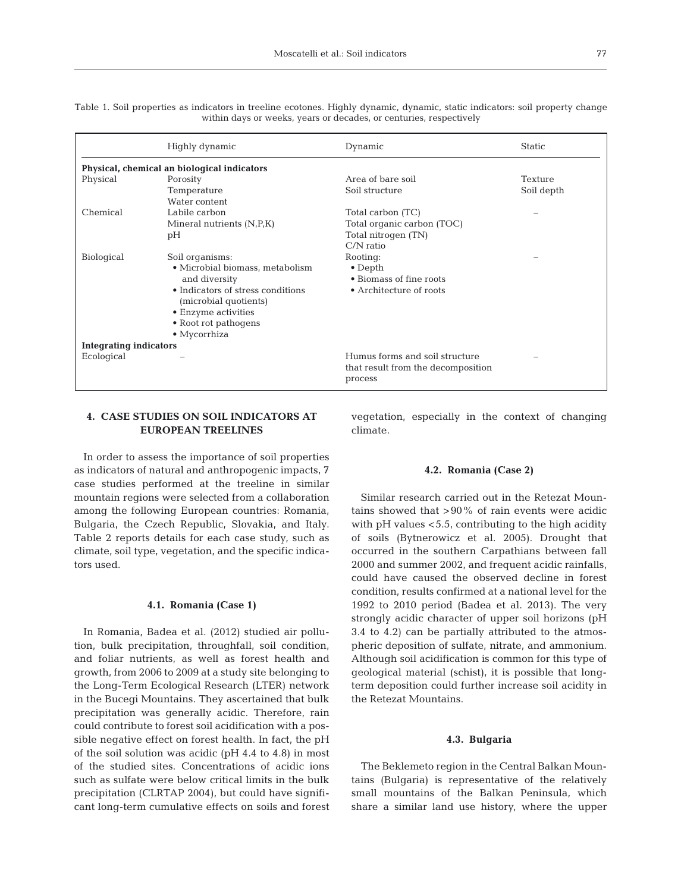|                                   | Physical, chemical an biological indicators                          |            |  |  |  |  |  |  |  |  |
|-----------------------------------|----------------------------------------------------------------------|------------|--|--|--|--|--|--|--|--|
| Porosity                          | Area of bare soil                                                    | Texture    |  |  |  |  |  |  |  |  |
| Temperature                       | Soil structure                                                       | Soil depth |  |  |  |  |  |  |  |  |
| Water content                     |                                                                      |            |  |  |  |  |  |  |  |  |
| Labile carbon                     | Total carbon (TC)                                                    |            |  |  |  |  |  |  |  |  |
| Mineral nutrients $(N, P, K)$     | Total organic carbon (TOC)                                           |            |  |  |  |  |  |  |  |  |
| pH                                | Total nitrogen (TN)                                                  |            |  |  |  |  |  |  |  |  |
|                                   | $C/N$ ratio                                                          |            |  |  |  |  |  |  |  |  |
| Soil organisms:                   | Rooting:                                                             |            |  |  |  |  |  |  |  |  |
| • Microbial biomass, metabolism   | $\bullet$ Depth                                                      |            |  |  |  |  |  |  |  |  |
| and diversity                     | • Biomass of fine roots                                              |            |  |  |  |  |  |  |  |  |
| • Indicators of stress conditions | • Architecture of roots                                              |            |  |  |  |  |  |  |  |  |
|                                   |                                                                      |            |  |  |  |  |  |  |  |  |
| • Root rot pathogens              |                                                                      |            |  |  |  |  |  |  |  |  |
|                                   |                                                                      |            |  |  |  |  |  |  |  |  |
| <b>Integrating indicators</b>     |                                                                      |            |  |  |  |  |  |  |  |  |
|                                   | Humus forms and soil structure<br>that result from the decomposition |            |  |  |  |  |  |  |  |  |
|                                   | (microbial quotients)<br>• Enzyme activities<br>$\bullet$ Mycorrhiza | process    |  |  |  |  |  |  |  |  |

Table 1. Soil properties as indicators in treeline ecotones. Highly dynamic, dynamic, static indicators: soil property change within days or weeks, years or decades, or centuries, respectively

# **4. CASE STUDIES ON SOIL INDICATORS AT EUROPEAN TREELINES**

In order to assess the importance of soil properties as indicators of natural and anthropogenic impacts, 7 case studies performed at the treeline in similar mountain regions were selected from a collaboration among the following European countries: Romania, Bulgaria, the Czech Republic, Slovakia, and Italy. Table 2 reports details for each case study, such as climate, soil type, vegetation, and the specific indicators used.

### **4.1. Romania (Case 1)**

In Romania, Badea et al. (2012) studied air pollution, bulk precipitation, throughfall, soil condition, and foliar nutrients, as well as forest health and growth, from 2006 to 2009 at a study site belonging to the Long-Term Ecological Research (LTER) network in the Bucegi Mountains. They ascertained that bulk precipitation was generally acidic. Therefore, rain could contribute to forest soil acidification with a possible negative effect on forest health. In fact, the pH of the soil solution was acidic (pH 4.4 to 4.8) in most of the studied sites. Concentrations of acidic ions such as sulfate were below critical limits in the bulk precipitation (CLRTAP 2004), but could have significant long-term cumulative effects on soils and forest vegetation, especially in the context of changing climate.

### **4.2. Romania (Case 2)**

Similar research carried out in the Retezat Mountains showed that  $>90\%$  of rain events were acidic with pH values <5.5, contributing to the high acidity of soils (Bytnerowicz et al. 2005). Drought that occurred in the southern Carpathians between fall 2000 and summer 2002, and frequent acidic rainfalls, could have caused the observed decline in forest condition, results confirmed at a national level for the 1992 to 2010 period (Badea et al. 2013). The very strongly acidic character of upper soil horizons (pH 3.4 to 4.2) can be partially attributed to the atmospheric deposition of sulfate, nitrate, and ammonium. Although soil acidification is common for this type of geological material (schist), it is possible that longterm deposition could further increase soil acidity in the Retezat Mountains.

#### **4.3. Bulgaria**

The Beklemeto region in the Central Balkan Mountains (Bulgaria) is representative of the relatively small mountains of the Balkan Peninsula, which share a similar land use history, where the upper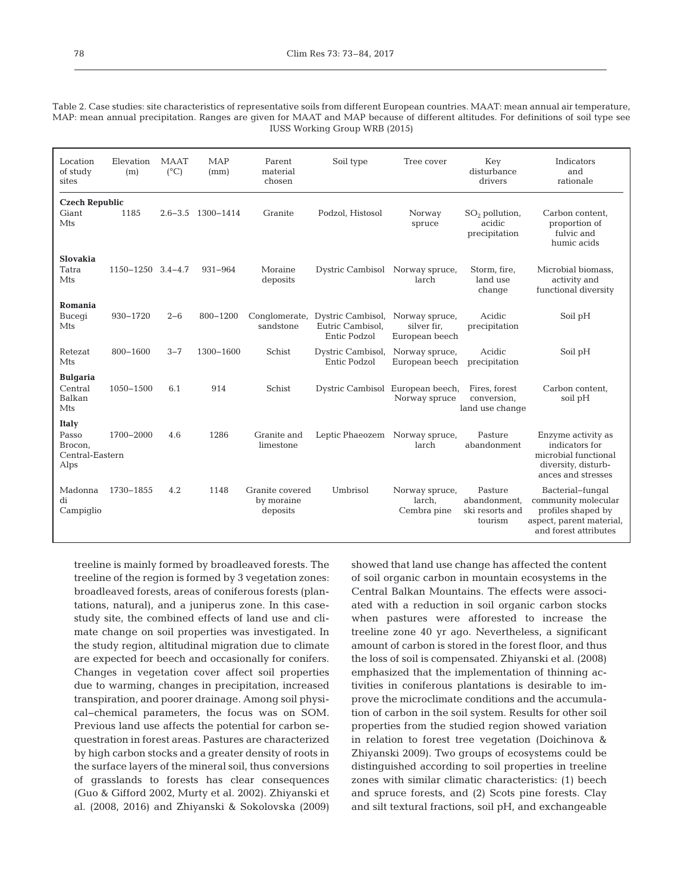Table 2. Case studies: site characteristics of representative soils from different European countries. MAAT: mean annual air temperature, MAP: mean annual precipitation. Ranges are given for MAAT and MAP because of different altitudes. For definitions of soil type see IUSS Working Group WRB (2015)

| Location<br>of study<br>sites                               | Elevation<br>(m)  | <b>MAAT</b><br>$(^{\circ}C)$ | <b>MAP</b><br>(mm) | Parent<br>material<br>chosen              | Soil type                                             | Tree cover                                      | Key<br>disturbance<br>drivers                         | Indicators<br>and<br>rationale                                                                                     |
|-------------------------------------------------------------|-------------------|------------------------------|--------------------|-------------------------------------------|-------------------------------------------------------|-------------------------------------------------|-------------------------------------------------------|--------------------------------------------------------------------------------------------------------------------|
| <b>Czech Republic</b><br>Giant<br>Mts                       | 1185              | $2.6 - 3.5$                  | 1300-1414          | Granite                                   | Podzol, Histosol                                      | Norway<br>spruce                                | $SO2$ pollution,<br>acidic<br>precipitation           | Carbon content,<br>proportion of<br>fulvic and<br>humic acids                                                      |
| <b>Slovakia</b><br>Tatra<br>Mts                             | 1150-1250 3.4-4.7 |                              | $931 - 964$        | Moraine<br>deposits                       | Dystric Cambisol Norway spruce,                       | larch                                           | Storm, fire,<br>land use<br>change                    | Microbial biomass,<br>activity and<br>functional diversity                                                         |
| Romania<br>Bucegi<br>Mts                                    | 930-1720          | $2 - 6$                      | 800-1200           | Conglomerate,<br>sandstone                | Dystric Cambisol,<br>Eutric Cambisol,<br>Entic Podzol | Norway spruce,<br>silver fir.<br>European beech | Acidic<br>precipitation                               | Soil pH                                                                                                            |
| Retezat<br>Mts                                              | 800-1600          | $3 - 7$                      | 1300-1600          | Schist                                    | Dystric Cambisol,<br>Entic Podzol                     | Norway spruce,<br>European beech                | Acidic<br>precipitation                               | Soil pH                                                                                                            |
| <b>Bulgaria</b><br>Central<br>Balkan<br>Mts                 | 1050-1500         | 6.1                          | 914                | Schist                                    | Dystric Cambisol European beech,                      | Norway spruce                                   | Fires, forest<br>conversion.<br>land use change       | Carbon content,<br>soil pH                                                                                         |
| <b>Italy</b><br>Passo<br>Brocon,<br>Central-Eastern<br>Alps | 1700-2000         | 4.6                          | 1286               | Granite and<br>limestone                  | Leptic Phaeozem                                       | Norway spruce,<br>larch                         | Pasture<br>abandonment                                | Enzyme activity as<br>indicators for<br>microbial functional<br>diversity, disturb-<br>ances and stresses          |
| Madonna<br>di<br>Campiglio                                  | 1730-1855         | 4.2                          | 1148               | Granite covered<br>by moraine<br>deposits | Umbrisol                                              | Norway spruce,<br>larch,<br>Cembra pine         | Pasture<br>abandonment.<br>ski resorts and<br>tourism | Bacterial-fungal<br>community molecular<br>profiles shaped by<br>aspect, parent material,<br>and forest attributes |

treeline is mainly formed by broadleaved forests. The treeline of the region is formed by 3 vegetation zones: broadleaved forests, areas of coniferous forests (plantations, natural), and a juniperus zone. In this casestudy site, the combined effects of land use and climate change on soil properties was investigated. In the study region, altitudinal migration due to climate are expected for beech and occasionally for conifers. Changes in vegetation cover affect soil properties due to warming, changes in precipitation, increased transpiration, and poorer drainage. Among soil physical−chemical parameters, the focus was on SOM. Previous land use affects the potential for carbon sequestration in forest areas. Pastures are characterized by high carbon stocks and a greater density of roots in the surface layers of the mineral soil, thus conversions of grasslands to forests has clear consequences (Guo & Gifford 2002, Murty et al. 2002). Zhiyanski et al. (2008, 2016) and Zhiyanski & Sokolovska (2009)

showed that land use change has affected the content of soil organic carbon in mountain ecosystems in the Central Balkan Mountains. The effects were associated with a reduction in soil organic carbon stocks when pastures were afforested to increase the treeline zone 40 yr ago. Nevertheless, a significant amount of carbon is stored in the forest floor, and thus the loss of soil is compensated. Zhiyanski et al. (2008) emphasized that the implementation of thinning activities in coniferous plantations is desirable to improve the microclimate conditions and the accumulation of carbon in the soil system. Results for other soil properties from the studied region showed variation in relation to forest tree vegetation (Doichinova & Zhiyanski 2009). Two groups of ecosystems could be distinguished according to soil properties in treeline zones with similar climatic characteristics: (1) beech and spruce forests, and (2) Scots pine forests. Clay and silt textural fractions, soil pH, and exchangeable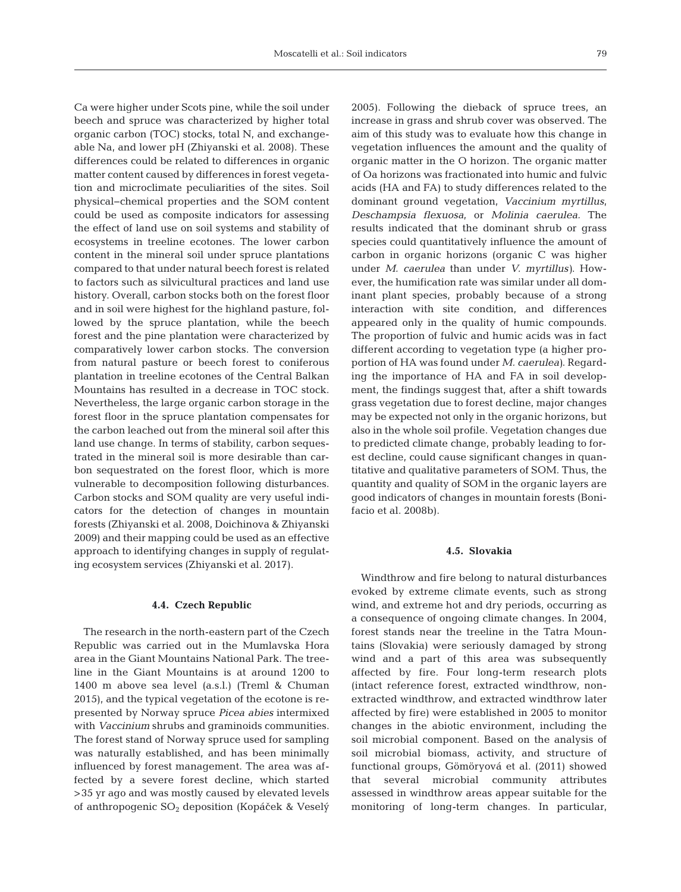Ca were higher under Scots pine, while the soil under beech and spruce was characterized by higher total organic carbon (TOC) stocks, total N, and exchangeable Na, and lower pH (Zhiyanski et al. 2008). These differences could be related to differences in organic matter content caused by differences in forest vegetation and microclimate peculiarities of the sites. Soil physical− chemical properties and the SOM content could be used as composite indicators for assessing the effect of land use on soil systems and stability of ecosystems in treeline ecotones. The lower carbon content in the mineral soil under spruce plantations compared to that under natural beech forest is related to factors such as silvicultural practices and land use history. Overall, carbon stocks both on the forest floor and in soil were highest for the highland pasture, followed by the spruce plantation, while the beech forest and the pine plantation were characterized by comparatively lower carbon stocks. The conversion from natural pasture or beech forest to coniferous plantation in treeline ecotones of the Central Balkan Mountains has resulted in a decrease in TOC stock. Nevertheless, the large organic carbon storage in the forest floor in the spruce plantation compensates for the carbon leached out from the mineral soil after this land use change. In terms of stability, carbon sequestrated in the mineral soil is more desirable than carbon sequestrated on the forest floor, which is more vulnerable to decomposition following disturbances. Carbon stocks and SOM quality are very useful indicators for the detection of changes in mountain forests (Zhiyanski et al. 2008, Doichinova & Zhiyanski 2009) and their mapping could be used as an effective approach to identifying changes in supply of regulating ecosystem services (Zhiyanski et al. 2017).

#### **4.4. Czech Republic**

The research in the north-eastern part of the Czech Republic was carried out in the Mumlavska Hora area in the Giant Mountains National Park. The treeline in the Giant Mountains is at around 1200 to 1400 m above sea level (a.s.l.) (Treml & Chuman 2015), and the typical vegetation of the ecotone is re presented by Norway spruce *Picea abies* intermixed with *Vaccinium* shrubs and graminoids communities. The forest stand of Norway spruce used for sampling was naturally established, and has been minimally influenced by forest management. The area was af fected by a severe forest decline, which started >35 yr ago and was mostly caused by elevated levels of anthropogenic SO<sub>2</sub> deposition (Kopáček & Veselý 2005). Following the dieback of spruce trees, an increase in grass and shrub cover was observed. The aim of this study was to evaluate how this change in vegetation influences the amount and the quality of organic matter in the O horizon. The organic matter of Oa horizons was fractionated into humic and fulvic acids (HA and FA) to study differences related to the dominant ground vegetation, *Vaccinium myrtillus*, *Deschampsia flexuosa*, or *Molinia caerulea.* The results indicated that the dominant shrub or grass species could quantitatively influence the amount of carbon in organic horizons (organic C was higher under *M. caerulea* than under *V. myrtillus)*. However, the humification rate was similar under all dominant plant species, probably because of a strong interaction with site condition, and differences appeared only in the quality of humic compounds. The proportion of fulvic and humic acids was in fact different according to vegetation type (a higher proportion of HA was found under *M. caerulea)*. Regarding the importance of HA and FA in soil development, the findings suggest that, after a shift towards grass vegetation due to forest decline, major changes may be expected not only in the organic horizons, but also in the whole soil profile. Vegetation changes due to predicted climate change, probably leading to forest decline, could cause significant changes in quantitative and qualitative parameters of SOM. Thus, the quantity and quality of SOM in the organic layers are good indicators of changes in mountain forests (Bonifacio et al. 2008b).

#### **4.5. Slovakia**

Windthrow and fire belong to natural disturbances evoked by extreme climate events, such as strong wind, and extreme hot and dry periods, occurring as a consequence of ongoing climate changes. In 2004, forest stands near the treeline in the Tatra Mountains (Slovakia) were seriously damaged by strong wind and a part of this area was subsequently affected by fire. Four long-term research plots (intact reference forest, extracted windthrow, nonextracted windthrow, and extracted windthrow later affected by fire) were established in 2005 to monitor changes in the abiotic environment, including the soil microbial component. Based on the analysis of soil microbial biomass, activity, and structure of functional groups, Gömöryová et al. (2011) showed that several microbial community attributes assessed in windthrow areas appear suitable for the monitoring of long-term changes. In particular,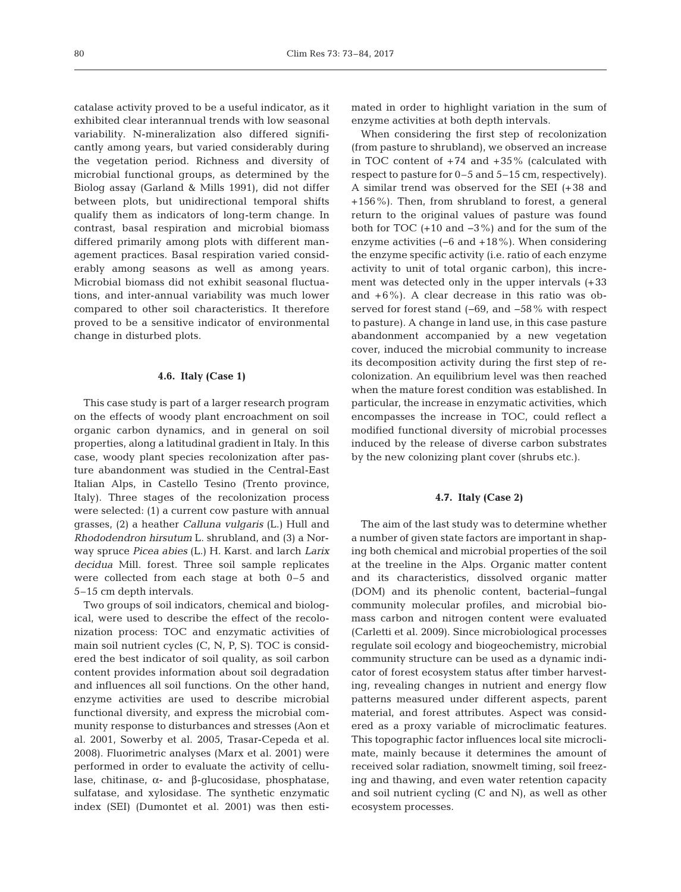catalase activity proved to be a useful indicator, as it exhibited clear interannual trends with low seasonal variability. N-mineralization also differed significantly among years, but varied considerably during the vegetation period. Richness and diversity of microbial functional groups, as determined by the Biolog assay (Garland & Mills 1991), did not differ between plots, but unidirectional temporal shifts qualify them as indicators of long-term change. In contrast, basal respiration and microbial biomass differed primarily among plots with different management practices. Basal respiration varied considerably among seasons as well as among years. Microbial biomass did not exhibit seasonal fluctuations, and inter-annual variability was much lower compared to other soil characteristics. It therefore proved to be a sensitive indicator of environmental change in disturbed plots.

#### **4.6. Italy (Case 1)**

This case study is part of a larger research program on the effects of woody plant encroachment on soil organic carbon dynamics, and in general on soil properties, along a latitudinal gradient in Italy. In this case, woody plant species recolonization after pasture abandonment was studied in the Central-East Italian Alps, in Castello Tesino (Trento province, Italy). Three stages of the recolonization process were selected: (1) a current cow pasture with annual grasses, (2) a heather *Calluna vulgaris* (L.) Hull and *Rhododendron hirsutum* L. shrubland, and (3) a Norway spruce *Picea abies* (L.) H. Karst. and larch *Larix decidua* Mill. forest. Three soil sample replicates were collected from each stage at both 0–5 and 5–15 cm depth intervals.

Two groups of soil indicators, chemical and biological, were used to describe the effect of the recolonization process: TOC and enzymatic activities of main soil nutrient cycles (C, N, P, S). TOC is considered the best indicator of soil quality, as soil carbon content provides information about soil degradation and influences all soil functions. On the other hand, enzyme activities are used to describe microbial functional diversity, and express the microbial community response to disturbances and stresses (Aon et al. 2001, Sowerby et al. 2005, Trasar-Cepeda et al. 2008). Fluorimetric analyses (Marx et al. 2001) were performed in order to evaluate the activity of cellulase, chitinase, α- and β-glucosidase, phosphatase, sulfatase, and xylosidase. The synthetic enzymatic index (SEI) (Dumontet et al. 2001) was then estimated in order to highlight variation in the sum of enzyme activities at both depth intervals.

When considering the first step of recolonization (from pasture to shrubland), we observed an increase in TOC content of  $+74$  and  $+35\%$  (calculated with respect to pasture for 0–5 and 5–15 cm, respectively). A similar trend was observed for the SEI (+38 and +156%). Then, from shrubland to forest, a general return to the original values of pasture was found both for TOC (+10 and −3%) and for the sum of the enzyme activities (−6 and +18%). When considering the enzyme specific activity (i.e. ratio of each enzyme activity to unit of total organic carbon), this increment was detected only in the upper intervals (+33 and  $+6\%$ ). A clear decrease in this ratio was observed for forest stand (−69, and −58% with respect to pasture). A change in land use, in this case pasture abandonment accompanied by a new vegetation cover, induced the microbial community to increase its decomposition activity during the first step of recolonization. An equilibrium level was then reached when the mature forest condition was established. In particular, the increase in enzymatic activities, which encompasses the increase in TOC, could reflect a modified functional diversity of microbial processes induced by the release of diverse carbon substrates by the new colonizing plant cover (shrubs etc.).

#### **4.7. Italy (Case 2)**

The aim of the last study was to determine whether a number of given state factors are important in shaping both chemical and microbial properties of the soil at the treeline in the Alps. Organic matter content and its characteristics, dissolved organic matter (DOM) and its phenolic content, bacterial−fungal community molecular profiles, and microbial biomass carbon and nitrogen content were evaluated (Carletti et al. 2009). Since microbiological processes regulate soil ecology and biogeochemistry, microbial community structure can be used as a dynamic indicator of forest ecosystem status after timber harvesting, revealing changes in nutrient and energy flow patterns measured under different aspects, parent material, and forest attributes. Aspect was considered as a proxy variable of microclimatic features. This topographic factor influences local site microclimate, mainly because it determines the amount of received solar radiation, snowmelt timing, soil freezing and thawing, and even water retention capacity and soil nutrient cycling (C and N), as well as other ecosystem processes.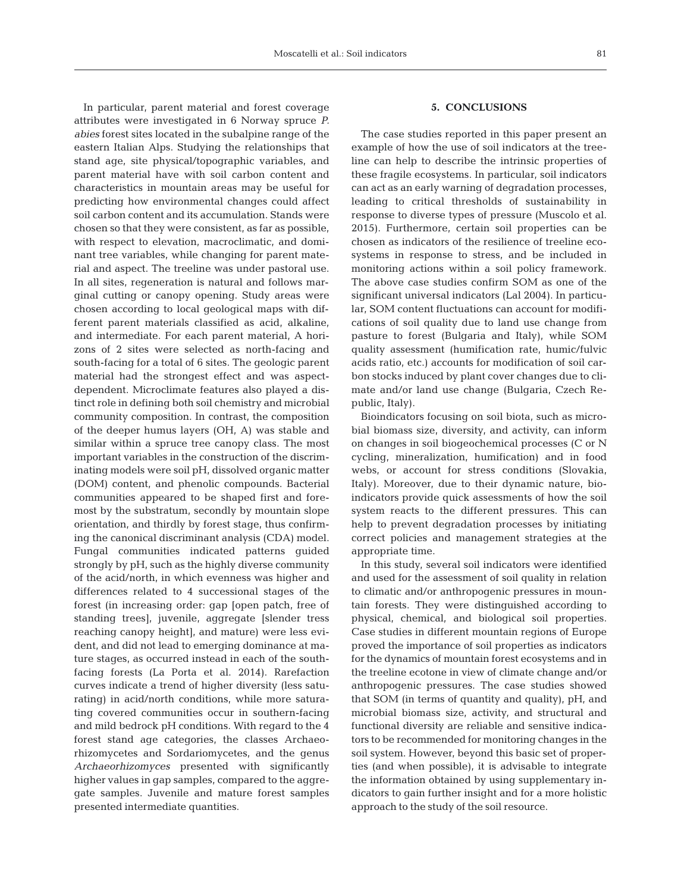In particular, parent material and forest coverage attributes were investigated in 6 Norway spruce *P. abies* forest sites located in the subalpine range of the eastern Italian Alps. Studying the relationships that stand age, site physical/topographic variables, and parent material have with soil carbon content and characteristics in mountain areas may be useful for predicting how environmental changes could affect soil carbon content and its accumulation. Stands were chosen so that they were consistent, as far as possible, with respect to elevation, macroclimatic, and dominant tree variables, while changing for parent material and aspect. The treeline was under pastoral use. In all sites, regeneration is natural and follows marginal cutting or canopy opening. Study areas were chosen according to local geological maps with different parent materials classified as acid, alkaline, and intermediate. For each parent material, A horizons of 2 sites were selected as north-facing and south-facing for a total of 6 sites. The geologic parent material had the strongest effect and was aspectdependent. Microclimate features also played a distinct role in defining both soil chemistry and microbial community composition. In contrast, the composition of the deeper humus layers (OH, A) was stable and similar within a spruce tree canopy class. The most important variables in the construction of the discriminating models were soil pH, dissolved organic matter (DOM) content, and phenolic compounds. Bacterial communities appeared to be shaped first and fore most by the substratum, secondly by mountain slope orientation, and thirdly by forest stage, thus confirming the canonical discriminant analysis (CDA) model. Fungal communities indicated patterns guided strongly by pH, such as the highly diverse community of the acid/north, in which evenness was higher and differences related to 4 successional stages of the forest (in increasing order: gap [open patch, free of standing trees], juvenile, aggregate [slender tress reaching canopy height], and mature) were less evident, and did not lead to emerging dominance at mature stages, as occurred instead in each of the southfacing forests (La Porta et al. 2014). Rarefaction curves indicate a trend of higher diversity (less saturating) in acid/north conditions, while more saturating covered communities occur in southern-facing and mild bedrock pH conditions. With regard to the 4 forest stand age categories, the classes Archaeorhizomycetes and Sordariomycetes, and the genus *Archaeorhizomyces* presented with significantly higher values in gap samples, compared to the aggregate samples. Juvenile and mature forest samples presented intermediate quantities.

## **5. CONCLUSIONS**

The case studies reported in this paper present an example of how the use of soil indicators at the treeline can help to describe the intrinsic properties of these fragile ecosystems. In particular, soil indicators can act as an early warning of degradation processes, leading to critical thresholds of sustainability in response to diverse types of pressure (Muscolo et al. 2015). Furthermore, certain soil properties can be chosen as indicators of the resilience of treeline ecosystems in response to stress, and be included in monitoring actions within a soil policy framework. The above case studies confirm SOM as one of the significant universal indicators (Lal 2004). In particular, SOM content fluctuations can account for modifications of soil quality due to land use change from pasture to forest (Bulgaria and Italy), while SOM quality assessment (humification rate, humic/fulvic acids ratio, etc.) accounts for modification of soil carbon stocks induced by plant cover changes due to climate and/or land use change (Bulgaria, Czech Re public, Italy).

Bioindicators focusing on soil biota, such as microbial biomass size, diversity, and activity, can inform on changes in soil biogeochemical processes (C or N cycling, mineralization, humification) and in food webs, or account for stress conditions (Slovakia, Italy). Moreover, due to their dynamic nature, bioindicators provide quick assessments of how the soil system reacts to the different pressures. This can help to prevent degradation processes by initiating correct policies and management strategies at the appropriate time.

In this study, several soil indicators were identified and used for the assessment of soil quality in relation to climatic and/or anthropogenic pressures in mountain forests. They were distinguished according to physical, chemical, and biological soil properties. Case studies in different mountain regions of Europe proved the importance of soil properties as indicators for the dynamics of mountain forest ecosystems and in the treeline ecotone in view of climate change and/or anthropogenic pressures. The case studies showed that SOM (in terms of quantity and quality), pH, and microbial biomass size, activity, and structural and functional diversity are reliable and sensitive indicators to be recommended for monitoring changes in the soil system. However, beyond this basic set of properties (and when possible), it is advisable to integrate the information obtained by using supplementary indicators to gain further insight and for a more holistic approach to the study of the soil resource.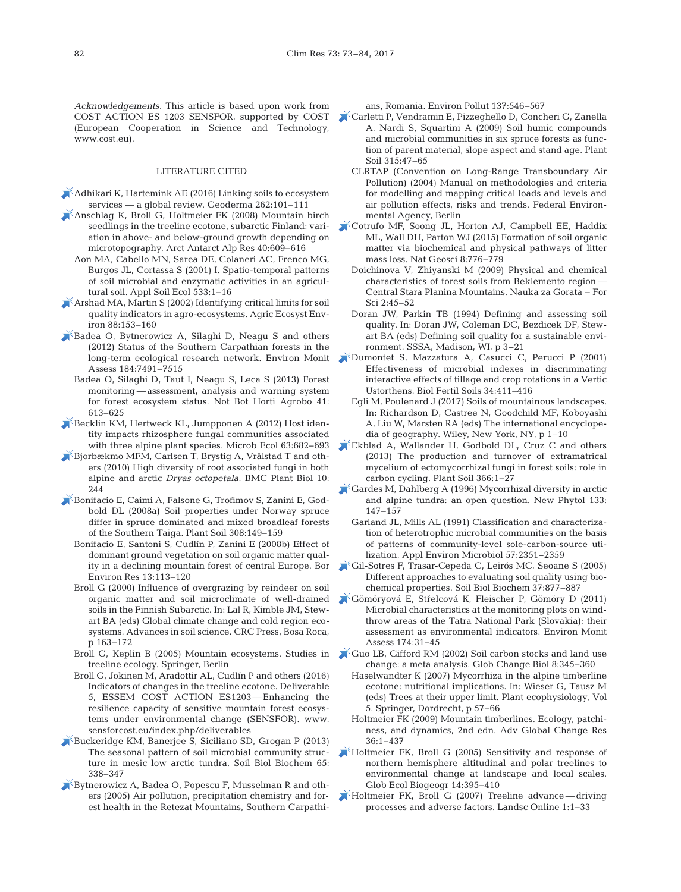*Acknowledgements.* This article is based upon work from (European Cooperation in Science and Technology, www.cost.eu).

#### LITERATURE CITED

- [Adhikari K, Hartemink AE \(2016\) Linking soils to ecosystem](https://doi.org/10.1016/j.geoderma.2015.08.009) services — a global review. Geoderma 262:101-111
- [Anschlag K, Broll G, Holtmeier FK \(2008\) Mountain birch](https://doi.org/10.1657/1523-0430(07-087)%5bANSCHLAG%5d2.0.CO%3B2) seedlings in the treeline ecotone, subarctic Finland: variation in above- and below-ground growth depending on microtopography. Arct Antarct Alp Res 40:609-616
	- Aon MA, Cabello MN, Sarea DE, Colaneri AC, Frenco MG, Burgos JL, Cortassa S (2001) I. Spatio-temporal patterns of soil microbial and enzymatic activities in an agricultural soil. Appl Soil Ecol 533: 1−16
- [Arshad MA, Martin S \(2002\) Identifying critical limits for soil](https://doi.org/10.1016/S0167-8809(01)00252-3) quality indicators in agro-ecosystems. Agric Ecosyst Environ 88: 153−160
- [Badea O, Bytnerowicz A, Silaghi D, Neagu S and others](https://doi.org/10.1007/s10661-011-2515-7) (2012) Status of the Southern Carpathian forests in the long-term ecological research network. Environ Monit Assess 184:7491-7515
	- Badea O, Silaghi D, Taut I, Neagu S, Leca S (2013) Forest monitoring — assessment, analysis and warning system for forest ecosystem status. Not Bot Horti Agrobo 41: 613−625
- [Becklin KM, Hertweck KL, Jumpponen A \(2012\) Host iden](https://doi.org/10.1007/s00248-011-9968-7)tity impacts rhizosphere fungal communities associated with three alpine plant species. Microb Ecol 63:682-693
- [Bjorbækmo MFM, Carlsen T, Brystig A, Vrålstad T and oth](https://doi.org/10.1186/1471-2229-10-244)ers (2010) High diversity of root associated fungi in both alpine and arctic *Dryas octopetala.* BMC Plant Biol 10: 244
- [Bonifacio E, Caimi A, Falsone G, Trofimov S, Zanini E, God](https://doi.org/10.1007/s11104-008-9615-3)bold DL (2008a) Soil properties under Norway spruce differ in spruce dominated and mixed broadleaf forests of the Southern Taiga. Plant Soil 308: 149−159
	- Bonifacio E, Santoni S, Cudlín P, Zanini E (2008b) Effect of dominant ground vegetation on soil organic matter quality in a declining mountain forest of central Europe. Bor Environ Res 13: 113−120
	- Broll G (2000) Influence of overgrazing by reindeer on soil organic matter and soil microclimate of well-drained soils in the Finnish Subarctic. In: Lal R, Kimble JM, Stewart BA (eds) Global climate change and cold region ecosystems. Advances in soil science. CRC Press, Bosa Roca, p 163−172
	- treeline ecology. Springer, Berlin
	- Broll G, Jokinen M, Aradottir AL, Cudlín P and others (2016) Indicators of changes in the treeline ecotone. Deliverable 5, ESSEM COST ACTION ES1203— Enhancing the resilience capacity of sensitive mountain forest ecosystems under environmental change (SENSFOR). www. sensforcost.eu/index.php/deliverables
- [Buckeridge KM, Banerjee S, Siciliano SD, Grogan P \(2013\)](https://doi.org/10.1016/j.soilbio.2013.06.012) The seasonal pattern of soil microbial community structure in mesic low arctic tundra. Soil Biol Biochem 65: 338−347
- [Bytnerowicz A, Badea O, Popescu F, Musselman R and oth](https://doi.org/10.1016/j.envpol.2005.01.040)ers (2005) Air pollution, precipitation chemistry and forest health in the Retezat Mountains, Southern Carpathi-

ans, Romania. Environ Pollut 137: 546−567

- COST ACTION ES 1203 SENSFOR, supported by COST [Carletti P, Vendramin E, Pizzeghello D, Concheri G, Zanella](https://doi.org/10.1007/s11104-008-9732-z) A, Nardi S, Squartini A (2009) Soil humic compounds and microbial communities in six spruce forests as function of parent material, slope aspect and stand age. Plant Soil 315:47-65
	- CLRTAP (Convention on Long-Range Transboundary Air Pollution) (2004) Manual on methodologies and criteria for modelling and mapping critical loads and levels and air pollution effects, risks and trends. Federal Environmental Agency, Berlin
	- [Cotrufo MF, Soong JL, Horton AJ, Campbell EE, Haddix](https://doi.org/10.1038/ngeo2520) ML, Wall DH, Parton WJ (2015) Formation of soil organic matter via biochemical and physical pathways of litter mass loss. Nat Geosci 8: 776−779
		- Doichinova V, Zhiyanski M (2009) Physical and chemical characteristics of forest soils from Beklemento region — Central Stara Planina Mountains. Nauka za Gorata − For Sci 2: 45−52
		- Doran JW, Parkin TB (1994) Defining and assessing soil quality. In:Doran JW, Coleman DC, Bezdicek DF, Stewart BA (eds) Defining soil quality for a sustainable environment. SSSA, Madison, WI, p 3–21
	- [Dumontet S, Mazzatura A, Casucci C, Perucci P \(2001\)](https://doi.org/10.1007/s00374-001-0424-6) Effectiveness of microbial indexes in discriminating interactive effects of tillage and crop rotations in a Vertic Ustorthens. Biol Fertil Soils 34: 411−416
		- Egli M, Poulenard J (2017) Soils of mountainous landscapes. In: Richardson D, Castree N, Goodchild MF, Koboyashi A, Liu W, Marsten RA (eds) The international encyclopedia of geography. Wiley, New York, NY, p 1–10
	- [Ekblad A, Wallander H, Godbold DL, Cruz C and others](https://doi.org/10.1007/s11104-013-1630-3) (2013) The production and turnover of extramatrical mycelium of ectomycorrhizal fungi in forest soils: role in carbon cycling. Plant Soil 366: 1−27
	- [Gardes M, Dahlberg A \(1996\) Mycorrhizal diversity in arctic](https://doi.org/10.1111/j.1469-8137.1996.tb04350.x) and alpine tundra: an open question. New Phytol 133: 147−157
		- Garland JL, Mills AL (1991) Classification and characterization of heterotrophic microbial communities on the basis of patterns of community-level sole-carbon-source utilization. Appl Environ Microbiol 57:2351-2359
	- [Gil-Sotres F, Trasar-Cepeda C, Leirós MC, Seoane S \(2005\)](https://doi.org/10.1016/j.soilbio.2004.10.003) Different approaches to evaluating soil quality using biochemical properties. Soil Biol Biochem 37: 877−887
	- Gömöryová E, Stř[elcová K, Fleischer P, Gömöry D \(2011\)](https://doi.org/10.1007/s10661-010-1755-2) Microbial characteristics at the monitoring plots on windthrow areas of the Tatra National Park (Slovakia): their assessment as environmental indicators. Environ Monit Assess 174: 31−45
- Broll G, Keplin B (2005) Mountain ecosystems. Studies in [Guo LB, Gifford RM \(2002\) Soil carbon stocks and land use](https://doi.org/10.1046/j.1354-1013.2002.00486.x) change:a meta analysis. Glob Change Biol 8: 345−360
	- Haselwandter K (2007) Mycorrhiza in the alpine timberline ecotone: nutritional implications. In: Wieser G, Tausz M (eds) Trees at their upper limit. Plant ecophysiology, Vol 5. Springer, Dordrecht, p 57−66
	- Holtmeier FK (2009) Mountain timberlines. Ecology, patchiness, and dynamics, 2nd edn. Adv Global Change Res 36: 1−437
	- $\blacktriangleright$  [Holtmeier FK, Broll G \(2005\) Sensitivity and response of](https://doi.org/10.1111/j.1466-822X.2005.00168.x) northern hemisphere altitudinal and polar treelines to environmental change at landscape and local scales. Glob Ecol Biogeogr 14: 395−410
	- [Holtmeier FK, Broll G \(2007\) Treeline advance driving](https://doi.org/10.3097/LO.200701) processes and adverse factors. Landsc Online 1: 1−33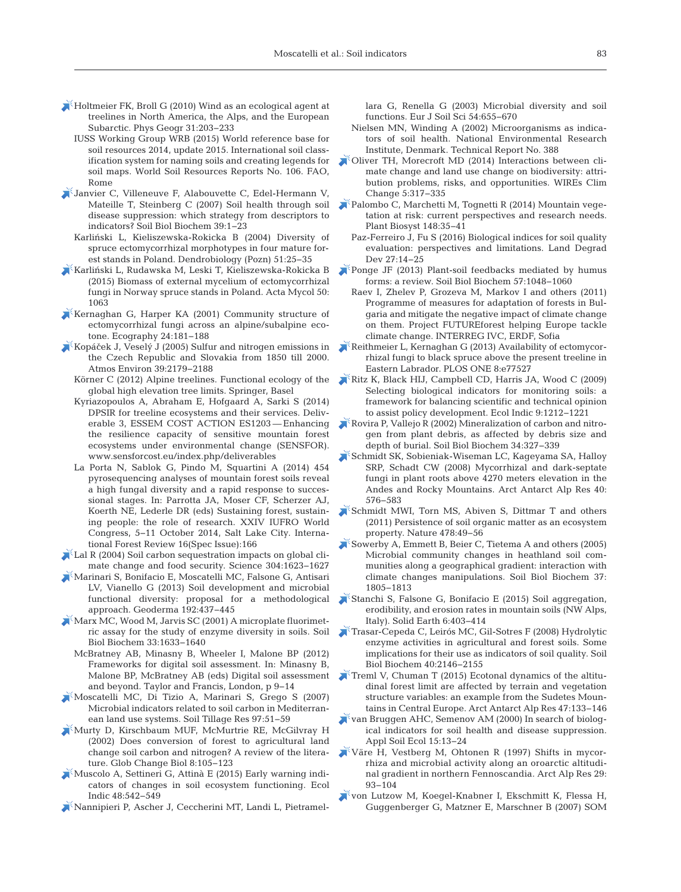- [Holtmeier FK, Broll G \(2010\) Wind as an ecological agent at](https://doi.org/10.2747/0272-3646.31.3.203) treelines in North America, the Alps, and the European Subarctic. Phys Geogr 31:203-233
	- IUSS Working Group WRB (2015) World reference base for soil resources 2014, update 2015. International soil class ification system for naming soils and creating legends for soil maps. World Soil Resources Reports No. 106. FAO, Rome
- [Janvier C, Villeneuve F, Alabouvette C, Edel-Hermann V,](https://doi.org/10.1016/j.soilbio.2006.07.001) Mateille T, Steinberg C (2007) Soil health through soil disease suppression: which strategy from descriptors to indicators? Soil Biol Biochem 39: 1−23
	- Karliński L, Kieliszewska-Rokicka B (2004) Diversity of spruce ectomycorrhizal morphotypes in four mature forest stands in Poland. Dendrobiology (Pozn) 51:25-35
- $\blacktriangleright$ Karliń[ski L, Rudawska M, Leski T, Kieliszewska-Rokicka B](https://doi.org/10.5586/am.1063) (2015) Biomass of external mycelium of ectomycorrhizal fungi in Norway spruce stands in Poland. Acta Mycol 50: 1063
- [Kernaghan G, Harper KA \(2001\) Community structure of](https://doi.org/10.1034/j.1600-0587.2001.240208.x) ectomycorrhizal fungi across an alpine/subalpine ecotone. Ecography 24: 181−188
- Kopáč[ek J, Veselý J \(2005\) Sulfur and nitrogen emissions in](https://doi.org/10.1016/j.atmosenv.2005.01.002) the Czech Republic and Slovakia from 1850 till 2000. Atmos Environ 39:2179-2188
	- Körner C (2012) Alpine treelines. Functional ecology of the global high elevation tree limits. Springer, Basel
	- Kyriazopoulos A, Abraham E, Hofgaard A, Sarki S (2014) DPSIR for treeline ecosystems and their services. Deliverable 3, ESSEM COST ACTION ES1203 — Enhancing the resilience capacity of sensitive mountain forest ecosystems under environmental change (SENSFOR). www. sensforcost.eu/index.php/deliverables
	- La Porta N, Sablok G, Pindo M, Squartini A (2014) 454 pyrosequencing analyses of mountain forest soils reveal a high fungal diversity and a rapid response to successional stages. In: Parrotta JA, Moser CF, Scherzer AJ, Koerth NE, Lederle DR (eds) Sustaining forest, sustaining people: the role of research. XXIV IUFRO World Congress, 5−11 October 2014, Salt Lake City. International Forest Review 16(Spec Issue): 166
- [Lal R \(2004\) Soil carbon sequestration impacts on global cli](https://doi.org/10.1126/science.1097396)mate change and food security. Science 304: 1623−1627
- [Marinari S, Bonifacio E, Moscatelli MC, Falsone G, Antisari](https://doi.org/10.1016/j.geoderma.2012.08.023) LV, Vianello G (2013) Soil development and microbial functional diversity: proposal for a methodological approach. Geoderma 192: 437−445
- [Marx MC, Wood M, Jarvis SC \(2001\) A microplate fluorimet](https://doi.org/10.1016/S0038-0717(01)00079-7)ric assay for the study of enzyme diversity in soils. Soil Biol Biochem 33: 1633−1640
	- McBratney AB, Minasny B, Wheeler I, Malone BP (2012) Frameworks for digital soil assessment. In: Minasny B, Malone BP, McBratney AB (eds) Digital soil assessment and beyond. Taylor and Francis, London, p 9−14
- [Moscatelli MC, Di Tizio A, Marinari S, Grego S \(2007\)](https://doi.org/10.1016/j.still.2007.08.007) Microbial indicators related to soil carbon in Mediterranean land use systems. Soil Tillage Res 97:51-59
- [Murty D, Kirschbaum MUF, McMurtrie RE, McGilvray H](https://doi.org/10.1046/j.1354-1013.2001.00459.x) (2002) Does conversion of forest to agricultural land change soil carbon and nitrogen? A review of the literature. Glob Change Biol 8: 105−123
- [Muscolo A, Settineri G, Attinà E \(2015\) Early warning indi](https://doi.org/10.1016/j.ecolind.2014.09.017)cators of changes in soil ecosystem functioning. Ecol Indic 48: 542−549
- [Nannipieri P, Ascher J, Ceccherini MT, Landi L, Pietramel-](https://doi.org/10.1046/j.1351-0754.2003.0556.x)

lara G, Renella G (2003) Microbial diversity and soil functions. Eur J Soil Sci 54: 655−670

- Nielsen MN, Winding A (2002) Microorganisms as indicators of soil health. National Environmental Research Institute, Denmark. Technical Report No. 388
- [Oliver TH, Morecroft MD \(2014\) Interactions between cli](https://doi.org/10.1002/wcc.271)mate change and land use change on biodiversity: attribution problems, risks, and opportunities. WIREs Clim Change 5: 317−335
- [Palombo C, Marchetti M, Tognetti R \(2014\) Mountain vege](https://doi.org/10.1080/11263504.2013.878410)tation at risk: current perspectives and research needs. Plant Biosyst 148: 35−41
	- Paz-Ferreiro J, Fu S (2016) Biological indices for soil quality evaluation: perspectives and limitations. Land Degrad Dev 27:14-25
- $\blacktriangleright$  [Ponge JF \(2013\) Plant-soil feedbacks mediated by humus](https://doi.org/10.1016/j.soilbio.2012.07.019) forms:a review. Soil Biol Biochem 57: 1048−1060
- Raev I, Zhelev P, Grozeva M, Markov I and others (2011) Programme of measures for adaptation of forests in Bulgaria and mitigate the negative impact of climate change on them. Project FUTUREforest helping Europe tackle climate change. INTERREG IVC, ERDF, Sofia
- $\blacktriangleright$  Reithmeier L, Kernaghan G (2013) Availability of ectomycorrhizal fungi to black spruce above the present treeline in Eastern Labrador. PLOS ONE 8:e77527
- [Ritz K, Black HIJ, Campbell CD, Harris JA, Wood C \(2009\)](https://doi.org/10.1016/j.ecolind.2009.02.009) Selecting biological indicators for monitoring soils: a framework for balancing scientific and technical opinion to assist policy development. Ecol Indic 9: 1212−1221
- [Rovira P, Vallejo R \(2002\) Mineralization of carbon and nitro](https://doi.org/10.1016/S0038-0717(01)00186-9)gen from plant debris, as affected by debris size and depth of burial. Soil Biol Biochem 34: 327−339
- [Schmidt SK, Sobieniak-Wiseman LC, Kageyama SA, Halloy](https://doi.org/10.1657/1523-0430(07-068)%5bSCHMIDT%5d2.0.CO%3B2) SRP, Schadt CW (2008) Mycorrhizal and dark-septate fungi in plant roots above 4270 meters elevation in the Andes and Rocky Mountains. Arct Antarct Alp Res 40: 576−583
- [Schmidt MWI, Torn MS, Abiven S, Dittmar T and others](https://doi.org/10.1038/nature10386) (2011) Persistence of soil organic matter as an ecosystem property. Nature 478:49-56
- [Sowerby A, Emmett B, Beier C, Tietema A and others \(2005\)](https://doi.org/10.1016/j.soilbio.2005.02.023) Microbial community changes in heathland soil communities along a geographical gradient: interaction with climate changes manipulations. Soil Biol Biochem 37: 1805−1813
- [Stanchi S, Falsone G, Bonifacio E \(2015\) Soil aggregation,](https://doi.org/10.5194/se-6-403-2015) erodibility, and erosion rates in mountain soils (NW Alps, Italy). Solid Earth 6:403-414
- [Trasar-Cepeda C, Leirós MC, Gil-Sotres F \(2008\) Hydrolytic](https://doi.org/10.1016/j.soilbio.2008.03.015) enzyme activities in agricultural and forest soils. Some implications for their use as indicators of soil quality. Soil Biol Biochem 40:2146-2155
- [Treml V, Chuman T \(2015\) Ecotonal dynamics of the altitu](https://doi.org/10.1657/AAAR0013-108)dinal forest limit are affected by terrain and vegetation structure variables: an example from the Sudetes Mountains in Central Europe. Arct Antarct Alp Res 47: 133−146
- [van Bruggen AHC, Semenov AM \(2000\) In search of biolog](https://doi.org/10.1016/S0929-1393(00)00068-8)ical indicators for soil health and disease suppression. Appl Soil Ecol 15: 13−24
- [Väre H, Vestberg M, Ohtonen R \(1997\) Shifts in mycor](https://doi.org/10.2307/1551839)rhiza and microbial activity along an oroarctic altitudinal gradient in northern Fennoscandia. Arct Alp Res 29: 93−104
- [von Lutzow M, Koegel-Knabner I, Ekschmitt K, Flessa H,](https://doi.org/10.1016/j.soilbio.2007.03.007) Guggenberger G, Matzner E, Marschner B (2007) SOM